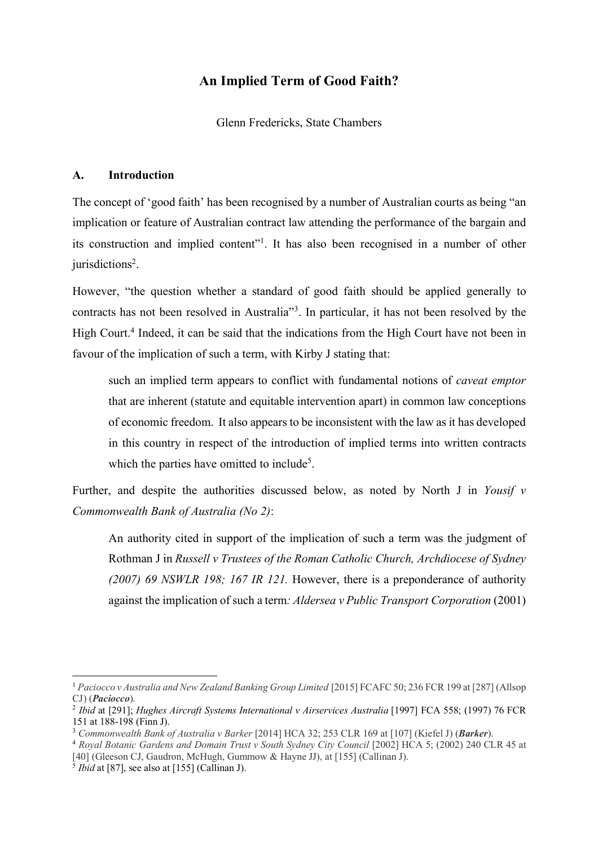# **An Implied Term of Good Faith?**

Glenn Fredericks, State Chambers

# **A. Introduction**

The concept of 'good faith' has been recognised by a number of Australian courts as being "an implication or feature of Australian contract law attending the performance of the bargain and its construction and implied content"1 . It has also been recognised in a number of other jurisdictions<sup>2</sup>.

However, "the question whether a standard of good faith should be applied generally to contracts has not been resolved in Australia"3 . In particular, it has not been resolved by the High Court.<sup>4</sup> Indeed, it can be said that the indications from the High Court have not been in favour of the implication of such a term, with Kirby J stating that:

such an implied term appears to conflict with fundamental notions of *caveat emptor* that are inherent (statute and equitable intervention apart) in common law conceptions of economic freedom. It also appears to be inconsistent with the law as it has developed in this country in respect of the introduction of implied terms into written contracts which the parties have omitted to include<sup>5</sup>.

Further, and despite the authorities discussed below, as noted by North J in *Yousif v Commonwealth Bank of Australia (No 2)*:

An authority cited in support of the implication of such a term was the judgment of Rothman J in *Russell v Trustees of the Roman Catholic Church, Archdiocese of Sydney (2007) 69 NSWLR 198; 167 IR 121.* However, there is a preponderance of authority against the implication of such a term*: Aldersea v Public Transport Corporation* (2001)

<sup>1</sup> *Paciocco v Australia and New Zealand Banking Group Limited* [2015] FCAFC 50; 236 FCR 199 at [287] (Allsop CJ) (*Paciocco*).

<sup>2</sup> *Ibid* at [291]; *Hughes Aircraft Systems International v Airservices Australia* [1997] FCA 558; (1997) 76 FCR 151 at 188-198 (Finn J).

<sup>3</sup> *Commonwealth Bank of Australia v Barker* [2014] HCA 32; 253 CLR 169 at [107] (Kiefel J) (*Barker*).

<sup>4</sup> *Royal Botanic Gardens and Domain Trust v South Sydney City Council* [2002] HCA 5; (2002) 240 CLR 45 at [40] (Gleeson CJ, Gaudron, McHugh, Gummow & Hayne JJ), at [155] (Callinan J).

 $\frac{5}{5}$  *Ibid* at [87], see also at [155] (Callinan J).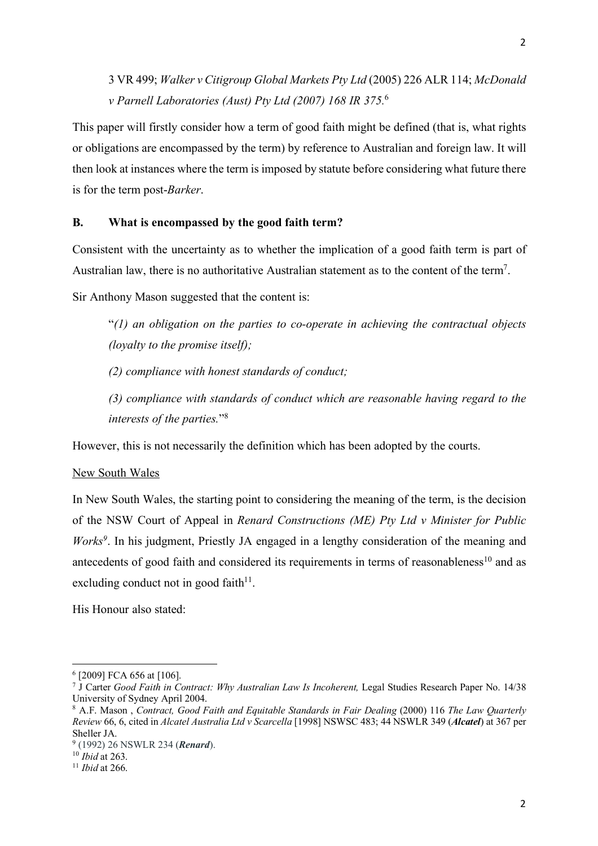3 VR 499; *Walker v Citigroup Global Markets Pty Ltd* (2005) 226 ALR 114; *McDonald v Parnell Laboratories (Aust) Pty Ltd (2007) 168 IR 375.* 6

This paper will firstly consider how a term of good faith might be defined (that is, what rights or obligations are encompassed by the term) by reference to Australian and foreign law. It will then look at instances where the term is imposed by statute before considering what future there is for the term post-*Barker*.

# **B. What is encompassed by the good faith term?**

Consistent with the uncertainty as to whether the implication of a good faith term is part of Australian law, there is no authoritative Australian statement as to the content of the term7.

Sir Anthony Mason suggested that the content is:

"*(1) an obligation on the parties to co-operate in achieving the contractual objects (loyalty to the promise itself);* 

*(2) compliance with honest standards of conduct;*

*(3) compliance with standards of conduct which are reasonable having regard to the interests of the parties.*"8

However, this is not necessarily the definition which has been adopted by the courts.

# New South Wales

In New South Wales, the starting point to considering the meaning of the term, is the decision of the NSW Court of Appeal in *Renard Constructions (ME) Pty Ltd v Minister for Public Works*<sup>9</sup>. In his judgment, Priestly JA engaged in a lengthy consideration of the meaning and antecedents of good faith and considered its requirements in terms of reasonableness<sup>10</sup> and as excluding conduct not in good faith $11$ .

His Honour also stated:

 $\overline{\phantom{a}}$ 

<sup>6</sup> [2009] FCA 656 at [106].

<sup>7</sup> J Carter *Good Faith in Contract: Why Australian Law Is Incoherent,* Legal Studies Research Paper No. 14/38 University of Sydney April 2004.

<sup>8</sup> A.F. Mason , *Contract, Good Faith and Equitable Standards in Fair Dealing* (2000) 116 *The Law Quarterly Review* 66, 6, cited in *Alcatel Australia Ltd v Scarcella* [1998] NSWSC 483; 44 NSWLR 349 (*Alcatel*) at 367 per Sheller JA.

<sup>9</sup> (1992) 26 NSWLR 234 (*Renard*).

<sup>10</sup> *Ibid* at 263.

<sup>11</sup> *Ibid* at 266.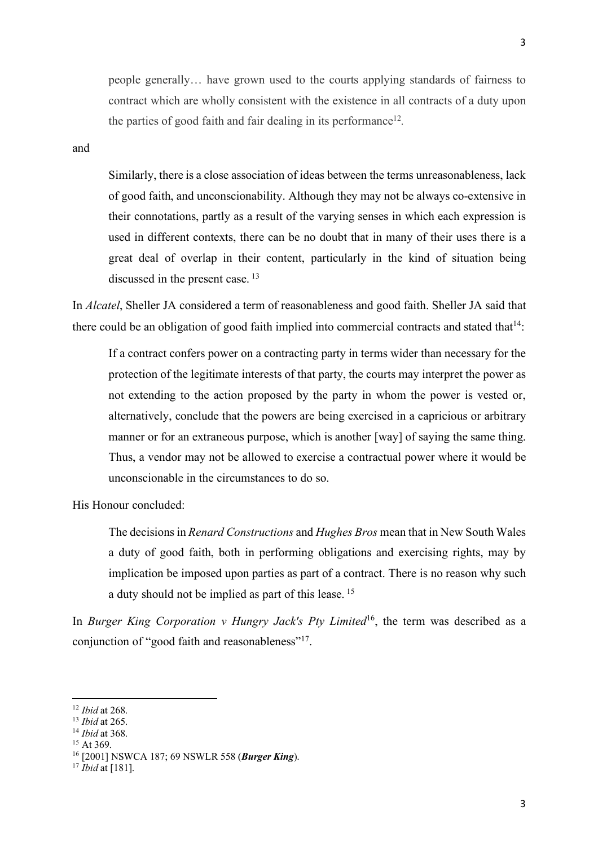people generally… have grown used to the courts applying standards of fairness to contract which are wholly consistent with the existence in all contracts of a duty upon the parties of good faith and fair dealing in its performance12*.*

and

Similarly, there is a close association of ideas between the terms unreasonableness, lack of good faith, and unconscionability. Although they may not be always co-extensive in their connotations, partly as a result of the varying senses in which each expression is used in different contexts, there can be no doubt that in many of their uses there is a great deal of overlap in their content, particularly in the kind of situation being discussed in the present case. <sup>13</sup>

In *Alcatel*, Sheller JA considered a term of reasonableness and good faith. Sheller JA said that there could be an obligation of good faith implied into commercial contracts and stated that  $14$ .

If a contract confers power on a contracting party in terms wider than necessary for the protection of the legitimate interests of that party, the courts may interpret the power as not extending to the action proposed by the party in whom the power is vested or, alternatively, conclude that the powers are being exercised in a capricious or arbitrary manner or for an extraneous purpose, which is another [way] of saying the same thing. Thus, a vendor may not be allowed to exercise a contractual power where it would be unconscionable in the circumstances to do so.

His Honour concluded:

The decisions in *Renard Constructions* and *Hughes Bros* mean that in New South Wales a duty of good faith, both in performing obligations and exercising rights, may by implication be imposed upon parties as part of a contract. There is no reason why such a duty should not be implied as part of this lease. <sup>15</sup>

In *Burger King Corporation v Hungry Jack's Pty Limited*<sup>16</sup>, the term was described as a conjunction of "good faith and reasonableness"<sup>17</sup>.

<sup>12</sup> *Ibid* at 268.

<sup>13</sup> *Ibid* at 265.

<sup>14</sup> *Ibid* at 368.

 $15$  At 369.

<sup>16</sup> [2001] NSWCA 187; 69 NSWLR 558 (*Burger King*).

<sup>17</sup> *Ibid* at [181].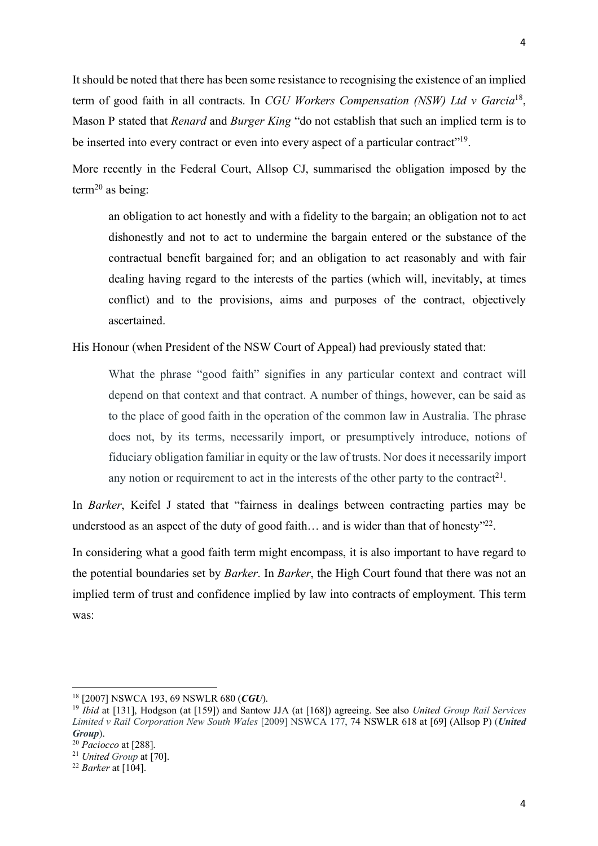It should be noted that there has been some resistance to recognising the existence of an implied term of good faith in all contracts. In *CGU Workers Compensation (NSW) Ltd v Garcia*18, Mason P stated that *Renard* and *Burger King* "do not establish that such an implied term is to be inserted into every contract or even into every aspect of a particular contract"<sup>19</sup>.

More recently in the Federal Court, Allsop CJ, summarised the obligation imposed by the term<sup>20</sup> as being:

an obligation to act honestly and with a fidelity to the bargain; an obligation not to act dishonestly and not to act to undermine the bargain entered or the substance of the contractual benefit bargained for; and an obligation to act reasonably and with fair dealing having regard to the interests of the parties (which will, inevitably, at times conflict) and to the provisions, aims and purposes of the contract, objectively ascertained.

His Honour (when President of the NSW Court of Appeal) had previously stated that:

What the phrase "good faith" signifies in any particular context and contract will depend on that context and that contract. A number of things, however, can be said as to the place of good faith in the operation of the common law in Australia. The phrase does not, by its terms, necessarily import, or presumptively introduce, notions of fiduciary obligation familiar in equity or the law of trusts. Nor does it necessarily import any notion or requirement to act in the interests of the other party to the contract<sup>21</sup>.

In *Barker*, Keifel J stated that "fairness in dealings between contracting parties may be understood as an aspect of the duty of good faith... and is wider than that of honesty<sup>"22</sup>.

In considering what a good faith term might encompass, it is also important to have regard to the potential boundaries set by *Barker*. In *Barker*, the High Court found that there was not an implied term of trust and confidence implied by law into contracts of employment. This term was:

<sup>18</sup> [2007] NSWCA 193, 69 NSWLR 680 (*CGU*).

<sup>19</sup> *Ibid* at [131], Hodgson (at [159]) and Santow JJA (at [168]) agreeing. See also *United Group Rail Services Limited v Rail Corporation New South Wales* [2009] NSWCA 177, 74 NSWLR 618 at [69] (Allsop P) (*United Group*).

<sup>20</sup> *Paciocco* at [288].

<sup>21</sup> *United Group* at [70].

<sup>22</sup> *Barker* at [104].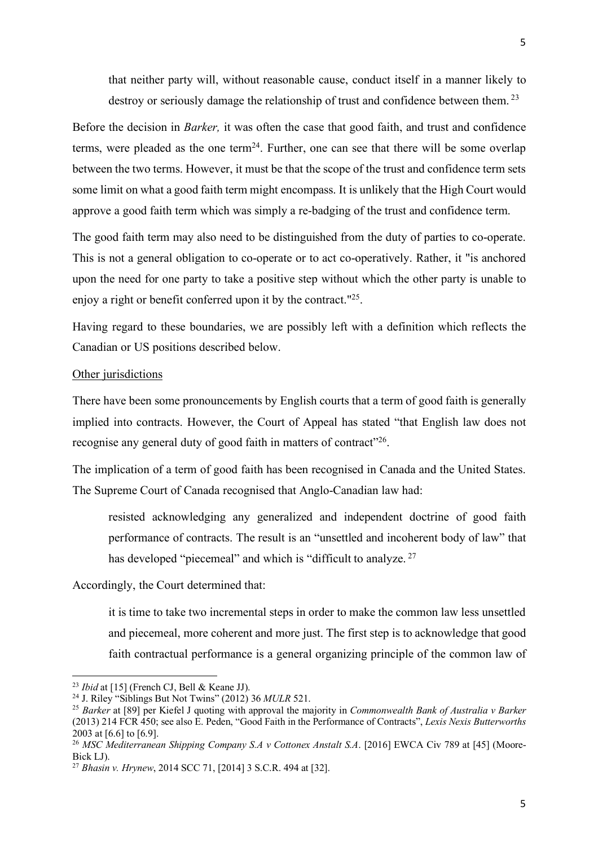that neither party will, without reasonable cause, conduct itself in a manner likely to destroy or seriously damage the relationship of trust and confidence between them.<sup>23</sup>

Before the decision in *Barker,* it was often the case that good faith, and trust and confidence terms, were pleaded as the one term<sup>24</sup>. Further, one can see that there will be some overlap between the two terms. However, it must be that the scope of the trust and confidence term sets some limit on what a good faith term might encompass. It is unlikely that the High Court would approve a good faith term which was simply a re-badging of the trust and confidence term.

The good faith term may also need to be distinguished from the duty of parties to co-operate. This is not a general obligation to co-operate or to act co-operatively. Rather, it "is anchored upon the need for one party to take a positive step without which the other party is unable to enjoy a right or benefit conferred upon it by the contract."25.

Having regard to these boundaries, we are possibly left with a definition which reflects the Canadian or US positions described below.

### Other jurisdictions

There have been some pronouncements by English courts that a term of good faith is generally implied into contracts. However, the Court of Appeal has stated "that English law does not recognise any general duty of good faith in matters of contract"<sup>26</sup>.

The implication of a term of good faith has been recognised in Canada and the United States. The Supreme Court of Canada recognised that Anglo-Canadian law had:

resisted acknowledging any generalized and independent doctrine of good faith performance of contracts. The result is an "unsettled and incoherent body of law" that has developed "piecemeal" and which is "difficult to analyze.<sup>27</sup>

### Accordingly, the Court determined that:

it is time to take two incremental steps in order to make the common law less unsettled and piecemeal, more coherent and more just. The first step is to acknowledge that good faith contractual performance is a general organizing principle of the common law of

<sup>23</sup> *Ibid* at [15] (French CJ, Bell & Keane JJ).

<sup>24</sup> J. Riley "Siblings But Not Twins" (2012) 36 *MULR* 521.

<sup>25</sup> *Barker* at [89] per Kiefel J quoting with approval the majority in *Commonwealth Bank of Australia v Barker* (2013) 214 FCR 450; see also E. Peden, "Good Faith in the Performance of Contracts", *Lexis Nexis Butterworths* 2003 at [6.6] to [6.9].

<sup>26</sup> *MSC Mediterranean Shipping Company S.A v Cottonex Anstalt S.A*. [2016] EWCA Civ 789 at [45] (Moore-Bick LJ).

<sup>27</sup> *Bhasin v. Hrynew*, 2014 SCC 71, [2014] 3 S.C.R. 494 at [32].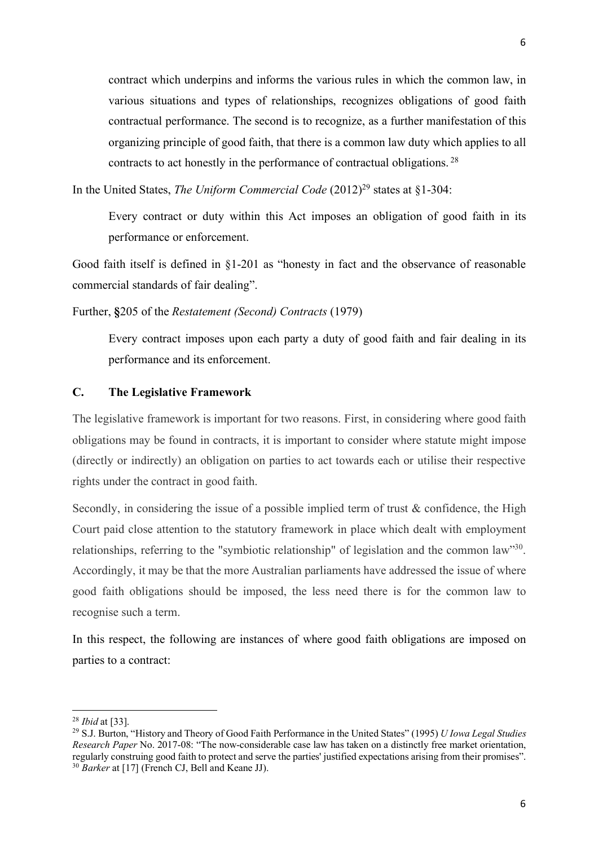contract which underpins and informs the various rules in which the common law, in various situations and types of relationships, recognizes obligations of good faith contractual performance. The second is to recognize, as a further manifestation of this organizing principle of good faith, that there is a common law duty which applies to all contracts to act honestly in the performance of contractual obligations. <sup>28</sup>

In the United States, *The Uniform Commercial Code* (2012)<sup>29</sup> states at §1-304:

Every contract or duty within this Act imposes an obligation of good faith in its performance or enforcement.

Good faith itself is defined in §1-201 as "honesty in fact and the observance of reasonable commercial standards of fair dealing".

Further, **§**205 of the *Restatement (Second) Contracts* (1979)

Every contract imposes upon each party a duty of good faith and fair dealing in its performance and its enforcement.

# **C. The Legislative Framework**

The legislative framework is important for two reasons. First, in considering where good faith obligations may be found in contracts, it is important to consider where statute might impose (directly or indirectly) an obligation on parties to act towards each or utilise their respective rights under the contract in good faith.

Secondly, in considering the issue of a possible implied term of trust & confidence, the High Court paid close attention to the statutory framework in place which dealt with employment relationships, referring to the "symbiotic relationship" of legislation and the common law"30. Accordingly, it may be that the more Australian parliaments have addressed the issue of where good faith obligations should be imposed, the less need there is for the common law to recognise such a term.

In this respect, the following are instances of where good faith obligations are imposed on parties to a contract:

 $\overline{a}$ 

<sup>28</sup> *Ibid* at [33].

<sup>29</sup> S.J. Burton, "History and Theory of Good Faith Performance in the United States" (1995) *U Iowa Legal Studies Research Paper* No. 2017-08: "The now-considerable case law has taken on a distinctly free market orientation, regularly construing good faith to protect and serve the parties' justified expectations arising from their promises". <sup>30</sup> *Barker* at [17] (French CJ, Bell and Keane JJ).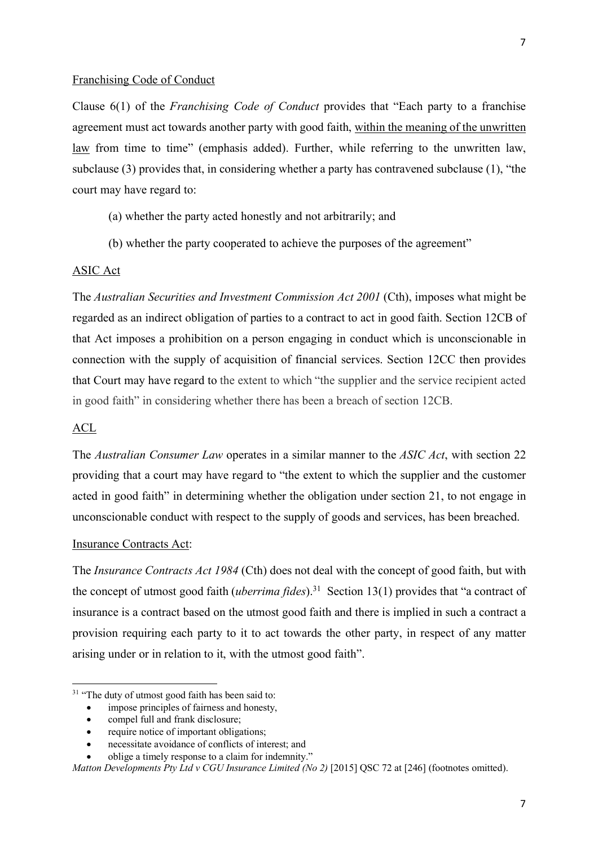#### Franchising Code of Conduct

Clause 6(1) of the *Franchising Code of Conduct* provides that "Each party to a franchise agreement must act towards another party with good faith, within the meaning of the unwritten law from time to time" (emphasis added). Further, while referring to the unwritten law, subclause (3) provides that, in considering whether a party has contravened subclause (1), "the court may have regard to:

- (a) whether the party acted honestly and not arbitrarily; and
- (b) whether the party cooperated to achieve the purposes of the agreement"

### ASIC Act

The *Australian Securities and Investment Commission Act 2001* (Cth), imposes what might be regarded as an indirect obligation of parties to a contract to act in good faith. Section 12CB of that Act imposes a prohibition on a person engaging in conduct which is unconscionable in connection with the supply of acquisition of financial services. Section 12CC then provides that Court may have regard to the extent to which "the supplier and the service recipient acted in good faith" in considering whether there has been a breach of section 12CB.

#### ACL

 $\overline{\phantom{a}}$ 

The *Australian Consumer Law* operates in a similar manner to the *ASIC Act*, with section 22 providing that a court may have regard to "the extent to which the supplier and the customer acted in good faith" in determining whether the obligation under section 21, to not engage in unconscionable conduct with respect to the supply of goods and services, has been breached.

### Insurance Contracts Act:

The *Insurance Contracts Act 1984* (Cth) does not deal with the concept of good faith, but with the concept of utmost good faith (*uberrima fides*).31 Section 13(1) provides that "a contract of insurance is a contract based on the utmost good faith and there is implied in such a contract a provision requiring each party to it to act towards the other party, in respect of any matter arising under or in relation to it, with the utmost good faith".

compel full and frank disclosure;

<sup>&</sup>lt;sup>31</sup> "The duty of utmost good faith has been said to:

impose principles of fairness and honesty,

require notice of important obligations;

<sup>•</sup> necessitate avoidance of conflicts of interest; and

<sup>•</sup> oblige a timely response to a claim for indemnity."

*Matton Developments Pty Ltd v CGU Insurance Limited (No 2)* [2015] QSC 72 at [246] (footnotes omitted).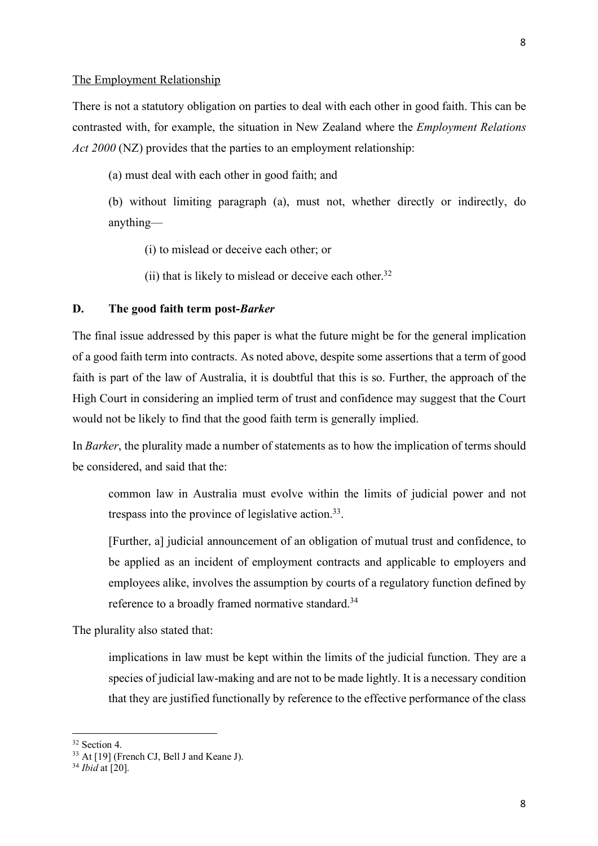There is not a statutory obligation on parties to deal with each other in good faith. This can be contrasted with, for example, the situation in New Zealand where the *Employment Relations Act 2000* (NZ) provides that the parties to an employment relationship:

(a) must deal with each other in good faith; and

(b) without limiting paragraph (a), must not, whether directly or indirectly, do anything—

(i) to mislead or deceive each other; or

(ii) that is likely to mislead or deceive each other.<sup>32</sup>

### **D. The good faith term post-***Barker*

The final issue addressed by this paper is what the future might be for the general implication of a good faith term into contracts. As noted above, despite some assertions that a term of good faith is part of the law of Australia, it is doubtful that this is so. Further, the approach of the High Court in considering an implied term of trust and confidence may suggest that the Court would not be likely to find that the good faith term is generally implied.

In *Barker*, the plurality made a number of statements as to how the implication of terms should be considered, and said that the:

common law in Australia must evolve within the limits of judicial power and not trespass into the province of legislative action.<sup>33</sup>.

[Further, a] judicial announcement of an obligation of mutual trust and confidence, to be applied as an incident of employment contracts and applicable to employers and employees alike, involves the assumption by courts of a regulatory function defined by reference to a broadly framed normative standard.34

The plurality also stated that:

implications in law must be kept within the limits of the judicial function. They are a species of judicial law-making and are not to be made lightly. It is a necessary condition that they are justified functionally by reference to the effective performance of the class

<sup>32</sup> Section 4.

<sup>&</sup>lt;sup>33</sup> At [19] (French CJ, Bell J and Keane J).

<sup>34</sup> *Ibid* at [20].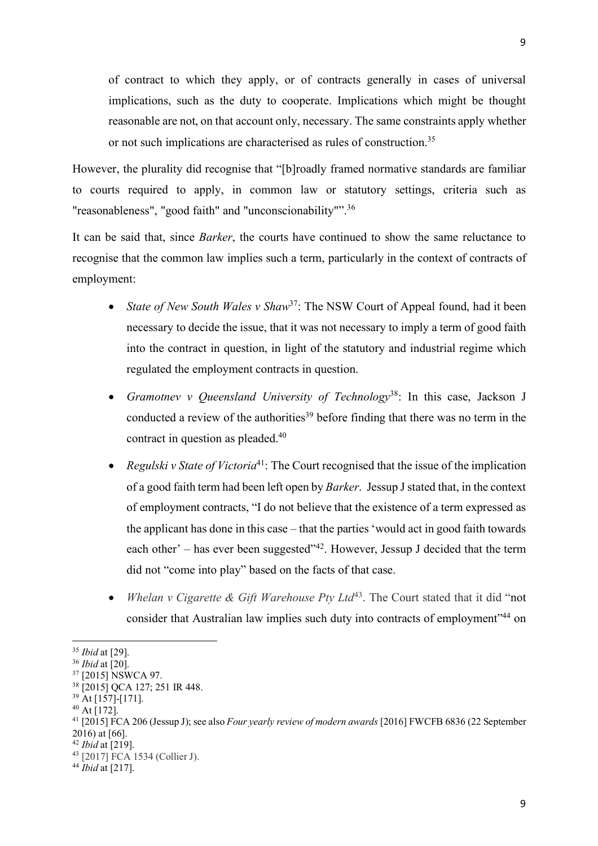of contract to which they apply, or of contracts generally in cases of universal implications, such as the duty to cooperate. Implications which might be thought reasonable are not, on that account only, necessary. The same constraints apply whether or not such implications are characterised as rules of construction.35

However, the plurality did recognise that "[b]roadly framed normative standards are familiar to courts required to apply, in common law or statutory settings, criteria such as "reasonableness", "good faith" and "unconscionability"".<sup>36</sup>

It can be said that, since *Barker*, the courts have continued to show the same reluctance to recognise that the common law implies such a term, particularly in the context of contracts of employment:

- *State of New South Wales v Shaw*<sup>37</sup>: The NSW Court of Appeal found, had it been necessary to decide the issue, that it was not necessary to imply a term of good faith into the contract in question, in light of the statutory and industrial regime which regulated the employment contracts in question.
- *Gramotnev v Queensland University of Technology*38: In this case, Jackson J conducted a review of the authorities<sup>39</sup> before finding that there was no term in the contract in question as pleaded. 40
- *Regulski v State of Victoria*41: The Court recognised that the issue of the implication of a good faith term had been left open by *Barker*. Jessup J stated that, in the context of employment contracts, "I do not believe that the existence of a term expressed as the applicant has done in this case – that the parties 'would act in good faith towards each other' – has ever been suggested"42. However, Jessup J decided that the term did not "come into play" based on the facts of that case.
- *Whelan v Cigarette & Gift Warehouse Pty Ltd*<sup>43</sup>. The Court stated that it did "not consider that Australian law implies such duty into contracts of employment"44 on

<sup>35</sup> *Ibid* at [29].

<sup>36</sup> *Ibid* at [20].

<sup>&</sup>lt;sup>37</sup> [2015] NSWCA 97.

<sup>38</sup> [2015] QCA 127; 251 IR 448.

<sup>39</sup> At [157]-[171].

<sup>40</sup> At [172].

<sup>41</sup> [2015] FCA 206 (Jessup J); see also *Four yearly review of modern awards* [2016] FWCFB 6836 (22 September 2016) at [66].

<sup>42</sup> *Ibid* at [219].

<sup>43</sup> [2017] FCA 1534 (Collier J).

<sup>44</sup> *Ibid* at [217].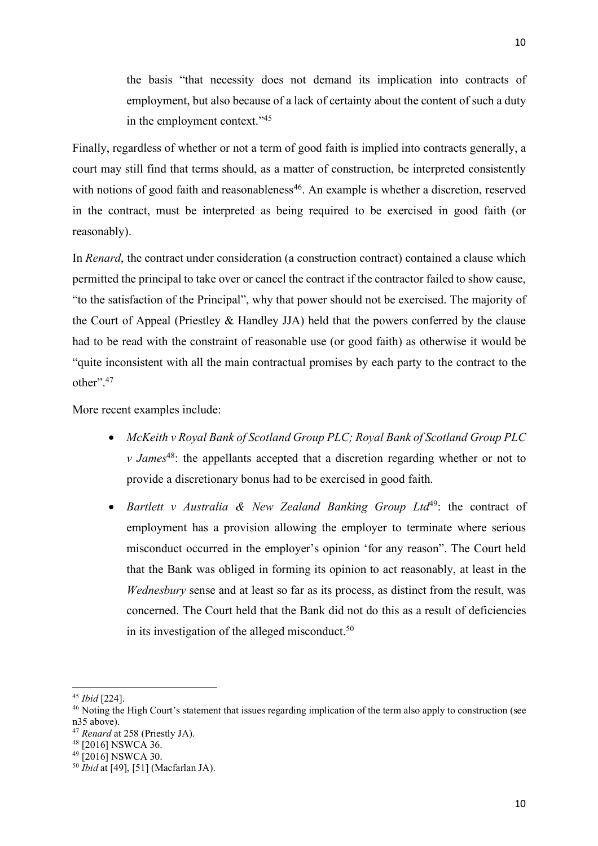the basis "that necessity does not demand its implication into contracts of employment, but also because of a lack of certainty about the content of such a duty in the employment context."45

Finally, regardless of whether or not a term of good faith is implied into contracts generally, a court may still find that terms should, as a matter of construction, be interpreted consistently with notions of good faith and reasonableness<sup>46</sup>. An example is whether a discretion, reserved in the contract, must be interpreted as being required to be exercised in good faith (or reasonably).

In *Renard*, the contract under consideration (a construction contract) contained a clause which permitted the principal to take over or cancel the contract if the contractor failed to show cause, "to the satisfaction of the Principal", why that power should not be exercised. The majority of the Court of Appeal (Priestley & Handley JJA) held that the powers conferred by the clause had to be read with the constraint of reasonable use (or good faith) as otherwise it would be "quite inconsistent with all the main contractual promises by each party to the contract to the other"<sup>47</sup>

More recent examples include:

- *McKeith v Royal Bank of Scotland Group PLC; Royal Bank of Scotland Group PLC v James*<sup>48</sup>: the appellants accepted that a discretion regarding whether or not to provide a discretionary bonus had to be exercised in good faith.
- *Bartlett v Australia & New Zealand Banking Group Ltd*49: the contract of employment has a provision allowing the employer to terminate where serious misconduct occurred in the employer's opinion 'for any reason". The Court held that the Bank was obliged in forming its opinion to act reasonably, at least in the *Wednesbury* sense and at least so far as its process, as distinct from the result, was concerned. The Court held that the Bank did not do this as a result of deficiencies in its investigation of the alleged misconduct.<sup>50</sup>

<sup>45</sup> *Ibid* [224].

<sup>&</sup>lt;sup>46</sup> Noting the High Court's statement that issues regarding implication of the term also apply to construction (see n35 above).

<sup>47</sup> *Renard* at 258 (Priestly JA).

<sup>48</sup> [2016] NSWCA 36.

 $49$  [2016] NSWCA 30.

<sup>50</sup> *Ibid* at [49], [51] (Macfarlan JA).